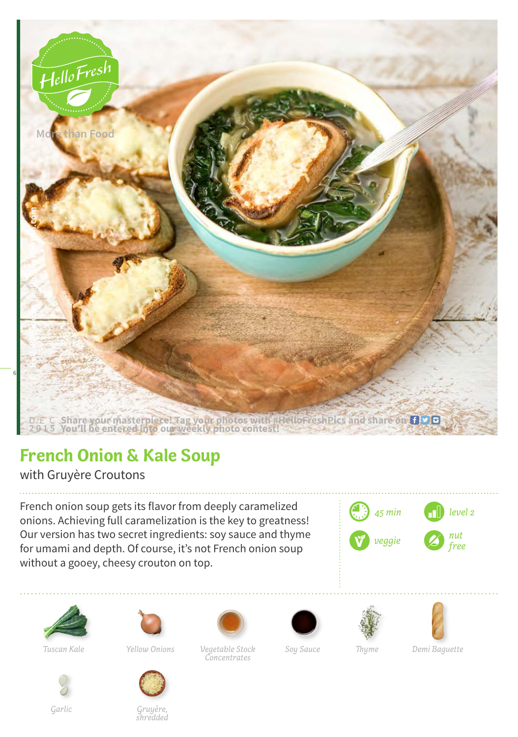

## **French Onion & Kale Soup**

with Gruyère Croutons

French onion soup gets its flavor from deeply caramelized onions. Achieving full caramelization is the key to greatness! Our version has two secret ingredients: soy sauce and thyme for umami and depth. Of course, it's not French onion soup without a gooey, cheesy crouton on top.









*Garlic Gruyère, shredded*

*Vegetable Stock Demi Baguette Tuscan Kale Yellow Onions Soy Sauce Thyme Concentrates*